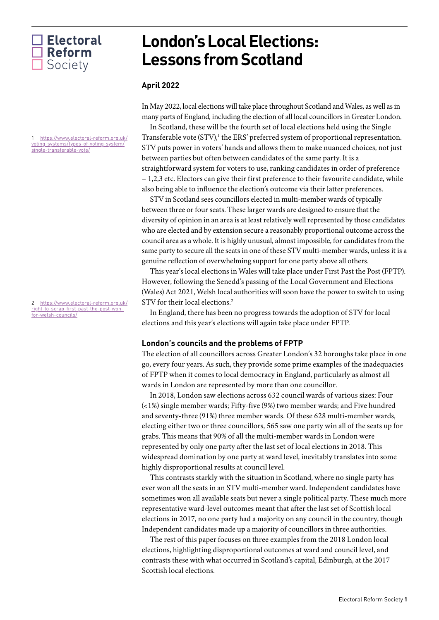## $\Box$  Electoral **Reform** Society

<span id="page-0-0"></span>1 [https://www.electoral-reform.org.uk/](https://www.electoral-reform.org.uk/voting-systems/types-of-voting-system/single-transferable-vote/) [voting-systems/types-of-voting-system/](https://www.electoral-reform.org.uk/voting-systems/types-of-voting-system/single-transferable-vote/) [single-transferable-vote/](https://www.electoral-reform.org.uk/voting-systems/types-of-voting-system/single-transferable-vote/)

<span id="page-0-1"></span>2 [https://www.electoral-reform.org.uk/](https://www.electoral-reform.org.uk/right-to-scrap-first-past-the-post-won-for-welsh-councils/) [right-to-scrap-first-past-the-post-won](https://www.electoral-reform.org.uk/right-to-scrap-first-past-the-post-won-for-welsh-councils/)[for-welsh-councils/](https://www.electoral-reform.org.uk/right-to-scrap-first-past-the-post-won-for-welsh-councils/)

# **London's Local Elections: Lessons from Scotland**

### **April 2022**

In May 2022, local elections will take place throughout Scotland and Wales, as well as in many parts of England, including the election of all local councillors in Greater London.

In Scotland, these will be the fourth set of local elections held using the Single Transferable vote  $(STV)$ ,<sup>1</sup> the ERS' preferred system of proportional representation. STV puts power in voters' hands and allows them to make nuanced choices, not just between parties but often between candidates of the same party. It is a straightforward system for voters to use, ranking candidates in order of preference – 1,2,3 etc. Electors can give their first preference to their favourite candidate, while also being able to influence the election's outcome via their latter preferences.

STV in Scotland sees councillors elected in multi-member wards of typically between three or four seats. These larger wards are designed to ensure that the diversity of opinion in an area is at least relatively well represented by those candidates who are elected and by extension secure a reasonably proportional outcome across the council area as a whole. It is highly unusual, almost impossible, for candidates from the same party to secure all the seats in one of these STV multi-member wards, unless it is a genuine reflection of overwhelming support for one party above all others.

This year's local elections in Wales will take place under First Past the Post (FPTP). However, following the Senedd's passing of the Local Government and Elections (Wales) Act 2021, Welsh local authorities will soon have the power to switch to using STV for their local elections.<sup>2</sup>

In England, there has been no progress towards the adoption of STV for local elections and this year's elections will again take place under FPTP.

#### **London's councils and the problems of FPTP**

The election of all councillors across Greater London's 32 boroughs take place in one go, every four years. As such, they provide some prime examples of the inadequacies of FPTP when it comes to local democracy in England, particularly as almost all wards in London are represented by more than one councillor.

In 2018, London saw elections across 632 council wards of various sizes: Four (<1%) single member wards; Fifty-five (9%) two member wards; and Five hundred and seventy-three (91%) three member wards. Of these 628 multi-member wards, electing either two or three councillors, 565 saw one party win all of the seats up for grabs. This means that 90% of all the multi-member wards in London were represented by only one party after the last set of local elections in 2018. This widespread domination by one party at ward level, inevitably translates into some highly disproportional results at council level.

This contrasts starkly with the situation in Scotland, where no single party has ever won all the seats in an STV multi-member ward. Independent candidates have sometimes won all available seats but never a single political party. These much more representative ward-level outcomes meant that after the last set of Scottish local elections in 2017, no one party had a majority on any council in the country, though Independent candidates made up a majority of councillors in three authorities.

The rest of this paper focuses on three examples from the 2018 London local elections, highlighting disproportional outcomes at ward and council level, and contrasts these with what occurred in Scotland's capital, Edinburgh, at the 2017 Scottish local elections.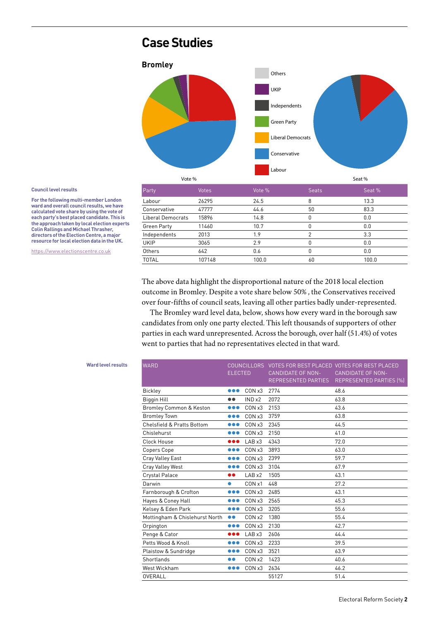# **Case Studies**



Labour 26295 24.5 8 13.3 Conservative 47777 44.6 50 83.3 Liberal Democrats 15896 14.8 0 0.0 Green Party 11460 10.7 0 0.0 Independents 2013 1.9 2 3.3 UKIP 3065 2.9 0 0.0 Others 642 0.6 0 0.0 TOTAL 107148 100.0 60 100.0

#### **Council level results**

**For the following multi-member London ward and overall council results, we have calculated vote share by using the vote of each party's best placed candidate. This is the approach taken by local election experts Colin Rallings and Michael Thrasher, directors of the Election Centre, a major resource for local election data in the UK.**

<https://www.electionscentre.co.uk>

The above data highlight the disproportional nature of the 2018 local election outcome in Bromley. Despite a vote share below 50% , the Conservatives received over four-fifths of council seats, leaving all other parties badly under-represented.

The Bromley ward level data, below, shows how every ward in the borough saw candidates from only one party elected. This left thousands of supporters of other parties in each ward unrepresented. Across the borough, over half (51.4%) of votes went to parties that had no representatives elected in that ward.

#### **Ward level results**

| <b>WARD</b>                           | <b>ELECTED</b>          | <b>COUNCILLORS</b> | <b>CANDIDATE OF NON-</b><br><b>REPRESENTED PARTIES</b> | VOTES FOR BEST PLACED VOTES FOR BEST PLACED<br><b>CANDIDATE OF NON-</b><br>REPRESENTED PARTIES (%) |
|---------------------------------------|-------------------------|--------------------|--------------------------------------------------------|----------------------------------------------------------------------------------------------------|
| <b>Bickley</b>                        | $\bullet\bullet\bullet$ | CONx3              | 2774                                                   | 48.6                                                                                               |
| <b>Biggin Hill</b>                    | $\bullet\bullet$        | IND x2             | 2072                                                   | 63.8                                                                                               |
| Bromley Common & Keston               | $\bullet\bullet\bullet$ | CON x3             | 2153                                                   | 43.6                                                                                               |
| <b>Bromley Town</b>                   | $\bullet\bullet\bullet$ | CON x3             | 3759                                                   | 63.8                                                                                               |
| <b>Chelsfield &amp; Pratts Bottom</b> | $\bullet\bullet\bullet$ | CON x3             | 2345                                                   | 44.5                                                                                               |
| Chislehurst                           | $\bullet\bullet\bullet$ | CON x3             | 2150                                                   | 41.0                                                                                               |
| Clock House                           |                         | LAB x3             | 4343                                                   | 72.0                                                                                               |
| Copers Cope                           | $\bullet\bullet\bullet$ | CON x3             | 3893                                                   | 63.0                                                                                               |
| Cray Valley East                      | $\bullet\bullet\bullet$ | CON x3             | 2399                                                   | 59.7                                                                                               |
| Cray Valley West                      |                         | CON x3             | 3104                                                   | 67.9                                                                                               |
| <b>Crystal Palace</b>                 |                         | LAB x2             | 1505                                                   | 43.1                                                                                               |
| Darwin                                | $\bullet$               | CON x1             | 448                                                    | 27.2                                                                                               |
| Farnborough & Crofton                 | $\bullet\bullet\bullet$ | CON x3             | 2485                                                   | 43.1                                                                                               |
| Hayes & Coney Hall                    | $\bullet\bullet\bullet$ | CON x3             | 2565                                                   | 45.3                                                                                               |
| Kelsey & Eden Park                    | $\bullet\bullet\bullet$ | CON x3             | 3205                                                   | 55.6                                                                                               |
| Mottingham & Chislehurst North        | $\bullet\bullet$        | CON x2             | 1380                                                   | 55.4                                                                                               |
| Orpington                             | $\bullet\bullet\bullet$ | CON x3             | 2130                                                   | 42.7                                                                                               |
| Penge & Cator                         | $\bullet\bullet\bullet$ | LAB x3             | 2606                                                   | 44.4                                                                                               |
| Petts Wood & Knoll                    | $\bullet\bullet\bullet$ | CON x3             | 2233                                                   | 39.5                                                                                               |
| Plaistow & Sundridge                  | $\bullet\bullet\bullet$ | CON x3             | 3521                                                   | 63.9                                                                                               |
| Shortlands                            |                         | CON x2             | 1423                                                   | 40.6                                                                                               |
| West Wickham                          | $\bullet\bullet\bullet$ | CON x3             | 2634                                                   | 46.2                                                                                               |
| OVERALL                               |                         |                    | 55127                                                  | 51.4                                                                                               |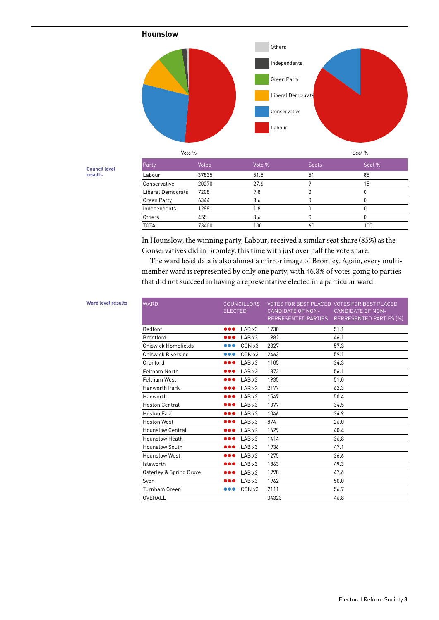

Vote % Seat %

| <b>Council level</b> |  |
|----------------------|--|
| results              |  |

| Party              | Votes | Vote % | <b>Seats</b> | Seat % |
|--------------------|-------|--------|--------------|--------|
| Labour             | 37835 | 51.5   | 51           | 85     |
| Conservative       | 20270 | 27.6   |              | 15     |
| Liberal Democrats  | 7208  | 9.8    |              |        |
| <b>Green Party</b> | 6344  | 8.6    |              |        |
| Independents       | 1288  | 1.8    |              |        |
| Others             | 455   | 0.6    |              |        |
| <b>TOTAL</b>       | 73400 | 100    | 60           | 100    |

In Hounslow, the winning party, Labour, received a similar seat share (85%) as the Conservatives did in Bromley, this time with just over half the vote share.

The ward level data is also almost a mirror image of Bromley. Again, every multimember ward is represented by only one party, with 46.8% of votes going to parties that did not succeed in having a representative elected in a particular ward.

| <b>WARD</b>                | <b>COUNCILLORS</b><br><b>ELECTED</b> | <b>CANDIDATE OF NON-</b><br><b>REPRESENTED PARTIES</b> | VOTES FOR BEST PLACED VOTES FOR BEST PLACED<br><b>CANDIDATE OF NON-</b><br>REPRESENTED PARTIES (%) |
|----------------------------|--------------------------------------|--------------------------------------------------------|----------------------------------------------------------------------------------------------------|
| Bedfont                    | LABx3<br>$\bullet\bullet\bullet$     | 1730                                                   | 51.1                                                                                               |
| <b>Brentford</b>           | LAB x3<br>                           | 1982                                                   | 46.1                                                                                               |
| <b>Chiswick Homefields</b> | CON x3<br>                           | 2327                                                   | 57.3                                                                                               |
| Chiswick Riverside         | CON x3<br>$\bullet\bullet\bullet$    | 2463                                                   | 59.1                                                                                               |
| Cranford                   | LABx3<br>$\bullet\bullet\bullet$     | 1105                                                   | 34.3                                                                                               |
| Feltham North              | LAB x3<br>$\bullet\bullet\bullet$    | 1872                                                   | 56.1                                                                                               |
| <b>Feltham West</b>        | LAB x3<br>000                        | 1935                                                   | 51.0                                                                                               |
| Hanworth Park              | LABx3<br>000                         | 2177                                                   | 62.3                                                                                               |
| Hanworth                   | LAB x3<br>000                        | 1547                                                   | 50.4                                                                                               |
| <b>Heston Central</b>      | LAB x3<br>000                        | 1077                                                   | 34.5                                                                                               |
| <b>Heston East</b>         | LABx3<br>000                         | 1046                                                   | 34.9                                                                                               |
| <b>Heston West</b>         | LAB x3<br>$\bullet\bullet\bullet$    | 874                                                    | 26.0                                                                                               |
| <b>Hounslow Central</b>    | LABx3<br>000                         | 1629                                                   | 40.4                                                                                               |
| Hounslow Heath             | LAB x3<br>$\bullet\bullet\bullet$    | 1414                                                   | 36.8                                                                                               |
| <b>Hounslow South</b>      | LAB x3<br>$\bullet\bullet\bullet$    | 1936                                                   | 47.1                                                                                               |
| <b>Hounslow West</b>       | LAB x3<br>$\bullet\bullet\bullet$    | 1275                                                   | 36.6                                                                                               |
| Isleworth                  | LAB x3<br>$\bullet\bullet\bullet$    | 1863                                                   | 49.3                                                                                               |
| Osterley & Spring Grove    | LAB x3<br>$\bullet\bullet\bullet$    | 1998                                                   | 47.6                                                                                               |
| Syon                       | LAB x3<br>                           | 1962                                                   | 50.0                                                                                               |
| <b>Turnham Green</b>       | CON x3<br>                           | 2111                                                   | 56.7                                                                                               |
| OVERALL                    |                                      | 34323                                                  | 46.8                                                                                               |
|                            |                                      |                                                        |                                                                                                    |

### **Ward level results**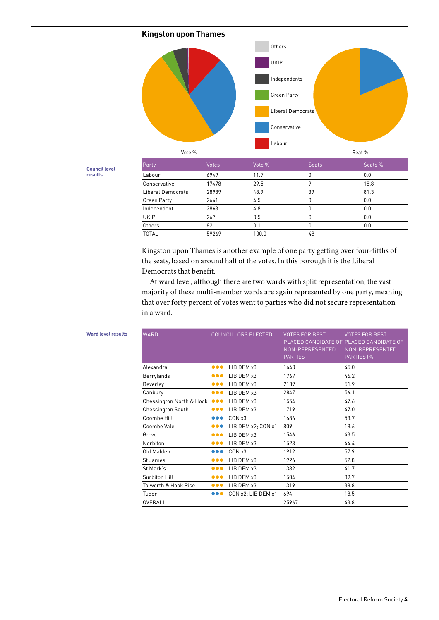



**Council level results**

| Party              | <b>Votes</b> | Vote % | <b>Seats</b> | Seats % |
|--------------------|--------------|--------|--------------|---------|
| Labour             | 6949         | 11.7   | 0            | 0.0     |
| Conservative       | 17478        | 29.5   | ٥            | 18.8    |
| Liberal Democrats  | 28989        | 48.9   | 39           | 81.3    |
| <b>Green Party</b> | 2641         | 4.5    | 0            | 0.0     |
| Independent        | 2863         | 4.8    | U            | 0.0     |
| <b>UKIP</b>        | 267          | 0.5    | n            | 0.0     |
| Others             | 82           | 0.1    | Ŋ            | 0.0     |
| <b>TOTAL</b>       | 59269        | 100.0  | 48           |         |

Kingston upon Thames is another example of one party getting over four-fifths of the seats, based on around half of the votes. In this borough it is the Liberal Democrats that benefit.

At ward level, although there are two wards with split representation, the vast majority of these multi-member wards are again represented by one party, meaning that over forty percent of votes went to parties who did not secure representation in a ward.

| <b>WARD</b>                  | <b>COUNCILLORS ELECTED</b> |                    | <b>VOTES FOR BEST</b><br>NON-REPRESENTED<br><b>PARTIES</b> | <b>VOTES FOR BEST</b><br>PLACED CANDIDATE OF PLACED CANDIDATE OF<br>NON-REPRESENTED<br>PARTIES (%) |
|------------------------------|----------------------------|--------------------|------------------------------------------------------------|----------------------------------------------------------------------------------------------------|
| Alexandra                    | $\bullet\bullet\bullet$    | LIB DEM x3         | 1640                                                       | 45.0                                                                                               |
| Berrylands                   | $\bullet\bullet\bullet$    | LIB DEM x3         | 1767                                                       | 46.2                                                                                               |
| Beverley                     | $\bullet\bullet\bullet$    | LIB DEM x3         | 2139                                                       | 51.9                                                                                               |
| Canbury                      | $\bullet\bullet\bullet$    | LIB DEM x3         | 2847                                                       | 56.1                                                                                               |
| Chessington North & Hook OOO |                            | LIB DEM x3         | 1554                                                       | 47.6                                                                                               |
| <b>Chessington South</b>     | $\bullet\bullet\bullet$    | LIB DEM x3         | 1719                                                       | 47.0                                                                                               |
| Coombe Hill                  | $\bullet\bullet\bullet$    | CON x3             | 1686                                                       | 53.7                                                                                               |
| Coombe Vale                  | $\bullet\bullet\bullet$    | LIB DEM x2; CON x1 | 809                                                        | 18.6                                                                                               |
| Grove                        | $\bullet\bullet\bullet$    | LIB DEM x3         | 1546                                                       | 43.5                                                                                               |
| Norbiton                     | $\bullet\bullet\bullet$    | LIB DEM x3         | 1523                                                       | 44.4                                                                                               |
| Old Malden                   | $\bullet\bullet\bullet$    | CONx3              | 1912                                                       | 57.9                                                                                               |
| St James                     | $\bullet\bullet\bullet$    | LIB DEM x3         | 1926                                                       | 52.8                                                                                               |
| St Mark's                    | $\bullet\bullet\bullet$    | LIB DEM x3         | 1382                                                       | 41.7                                                                                               |
| Surbiton Hill                | $\bullet\bullet\bullet$    | LIB DEM x3         | 1504                                                       | 39.7                                                                                               |
| Tolworth & Hook Rise         | $\bullet\bullet\bullet$    | LIB DEM x3         | 1319                                                       | 38.8                                                                                               |
| Tudor                        | $\bullet\bullet\bullet$    | CON x2; LIB DEM x1 | 694                                                        | 18.5                                                                                               |
| OVERALL                      |                            |                    | 25967                                                      | 43.8                                                                                               |

| <b>Ward level results</b> |  |
|---------------------------|--|
|---------------------------|--|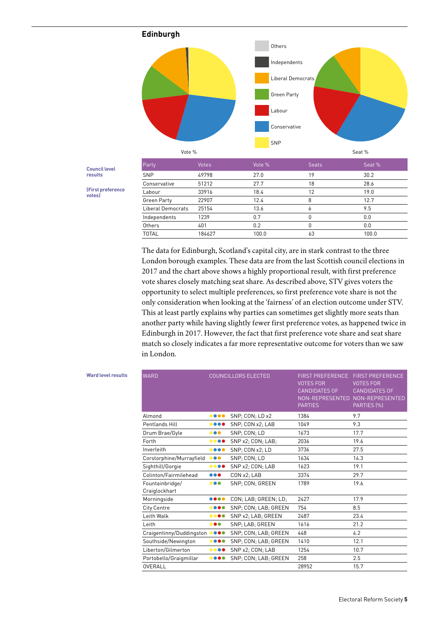

Conservative 51212 27.7 18 28.6 Labour 33916 18.4 12 19.0 Green Party 22907 12.4 8 12.7 Liberal Democrats 25154 13.6 6 9.5 Independents 1239 0.7 0 0.0 Others 401 0.2 0 0.0 TOTAL 184627 100.0 63 100.0

**Council level results**

**(First preference votes)**

> The data for Edinburgh, Scotland's capital city, are in stark contrast to the three London borough examples. These data are from the last Scottish council elections in 2017 and the chart above shows a highly proportional result, with first preference vote shares closely matching seat share. As described above, STV gives voters the opportunity to select multiple preferences, so first preference vote share is not the only consideration when looking at the 'fairness' of an election outcome under STV. This at least partly explains why parties can sometimes get slightly more seats than another party while having slightly fewer first preference votes, as happened twice in Edinburgh in 2017. However, the fact that first preference vote share and seat share match so closely indicates a far more representative outcome for voters than we saw in London.

| <b>WARD</b>                      |                                | <b>COUNCILLORS ELECTED</b> | <b>FIRST PREFERENCE</b><br><b>VOTES FOR</b><br><b>CANDIDATES OF</b><br>NON-REPRESENTED<br><b>PARTIES</b> | <b>FIRST PREFERENCE</b><br><b>VOTES FOR</b><br><b>CANDIDATES OF</b><br>NON-REPRESENTED<br>PARTIES (%) |
|----------------------------------|--------------------------------|----------------------------|----------------------------------------------------------------------------------------------------------|-------------------------------------------------------------------------------------------------------|
| Almond                           | $\bullet\bullet\bullet\bullet$ | SNP; CON; LD x2            | 1384                                                                                                     | 9.7                                                                                                   |
| Pentlands Hill                   |                                | SNP: CON x2: LAB           | 1049                                                                                                     | 9.3                                                                                                   |
| Drum Brae/Gyle                   | $\bullet\bullet\bullet$        | SNP: CON: LD               | 1673                                                                                                     | 17.7                                                                                                  |
| Forth                            |                                | SNP x2; CON; LAB;          | 2036                                                                                                     | 19.6                                                                                                  |
| Inverleith                       |                                | SNP: CON x2: LD            | 3736                                                                                                     | 27.5                                                                                                  |
| Corstorphine/Murrayfield         | $\bullet\bullet\bullet$        | SNP: CON: LD               | 1634                                                                                                     | 14.3                                                                                                  |
| Sighthill/Gorgie                 |                                | SNP x2; CON; LAB           | 1623                                                                                                     | 19.1                                                                                                  |
| Colinton/Fairmilehead            | $\bullet\bullet\bullet$        | CON x2: LAB                | 3374                                                                                                     | 29.7                                                                                                  |
| Fountainbridge/<br>Craiglockhart |                                | SNP: CON: GREEN            | 1789                                                                                                     | 19.6                                                                                                  |
| Morningside                      |                                | CON: LAB: GREEN: LD:       | 2427                                                                                                     | 17.9                                                                                                  |
| <b>City Centre</b>               |                                | SNP: CON: LAB: GREEN       | 754                                                                                                      | 8.5                                                                                                   |
| Leith Walk                       |                                | SNP x2; LAB; GREEN         | 2487                                                                                                     | 23.4                                                                                                  |
| Leith                            | $\bullet\bullet\bullet$        | SNP: LAB: GREEN            | 1616                                                                                                     | 21.2                                                                                                  |
| Craigentinny/Duddingston OOOO    |                                | SNP; CON; LAB; GREEN       | 448                                                                                                      | 4.2                                                                                                   |
| Southside/Newington              |                                | SNP: CON: LAB: GREEN       | 1410                                                                                                     | 12.1                                                                                                  |
| Liberton/Gilmerton               | $\bullet\bullet\bullet\bullet$ | SNP x2; CON; LAB           | 1254                                                                                                     | 10.7                                                                                                  |
| Portobello/Graigmillar           |                                | SNP: CON: LAB: GREEN       | 258                                                                                                      | 2.5                                                                                                   |
| OVERALL                          |                                |                            | 28952                                                                                                    | 15.7                                                                                                  |

Ward level result